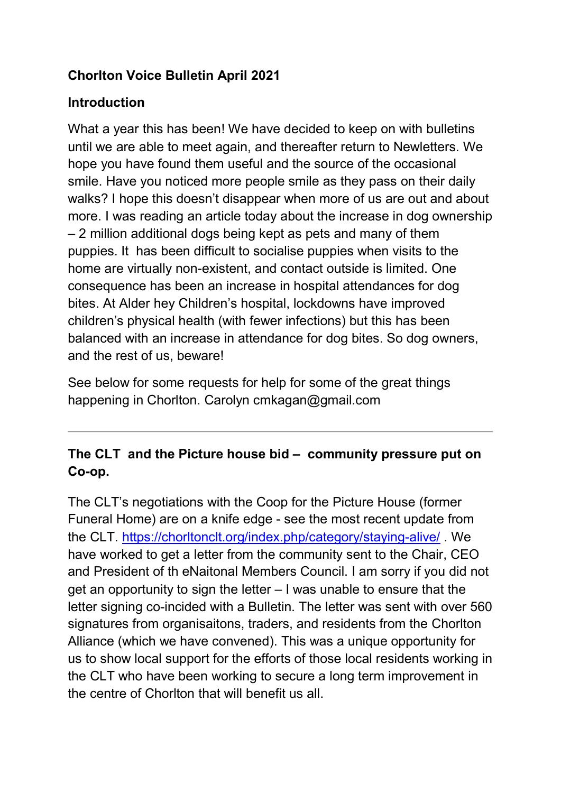## Chorlton Voice Bulletin April 2021

## Introduction

What a year this has been! We have decided to keep on with bulletins until we are able to meet again, and thereafter return to Newletters. We hope you have found them useful and the source of the occasional smile. Have you noticed more people smile as they pass on their daily walks? I hope this doesn't disappear when more of us are out and about more. I was reading an article today about the increase in dog ownership – 2 million additional dogs being kept as pets and many of them puppies. It has been difficult to socialise puppies when visits to the home are virtually non-existent, and contact outside is limited. One consequence has been an increase in hospital attendances for dog bites. At Alder hey Children's hospital, lockdowns have improved children's physical health (with fewer infections) but this has been balanced with an increase in attendance for dog bites. So dog owners, and the rest of us, beware!

See below for some requests for help for some of the great things happening in Chorlton. Carolyn cmkagan@gmail.com

# The CLT and the Picture house bid – community pressure put on Co-op.

The CLT's negotiations with the Coop for the Picture House (former Funeral Home) are on a knife edge - see the most recent update from the CLT. https://chorltonclt.org/index.php/category/staying-alive/ . We have worked to get a letter from the community sent to the Chair, CEO and President of th eNaitonal Members Council. I am sorry if you did not get an opportunity to sign the letter – I was unable to ensure that the letter signing co-incided with a Bulletin. The letter was sent with over 560 signatures from organisaitons, traders, and residents from the Chorlton Alliance (which we have convened). This was a unique opportunity for us to show local support for the efforts of those local residents working in the CLT who have been working to secure a long term improvement in the centre of Chorlton that will benefit us all.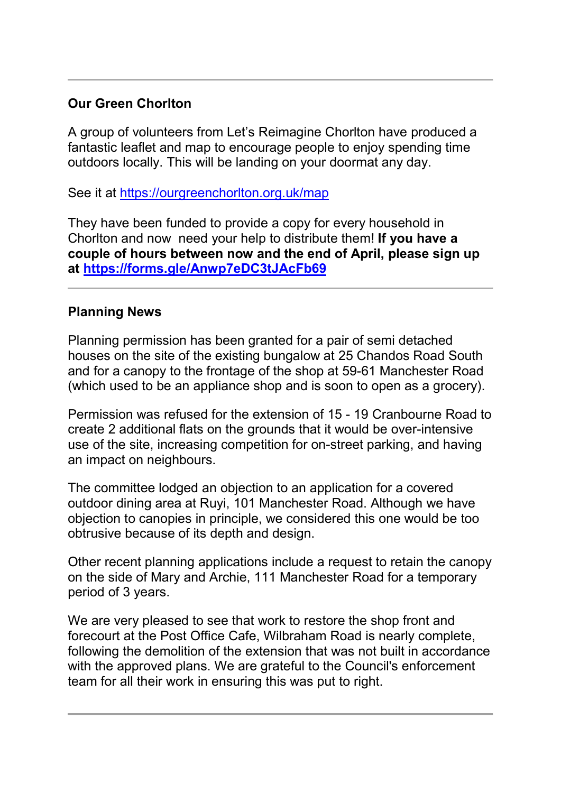## Our Green Chorlton

A group of volunteers from Let's Reimagine Chorlton have produced a fantastic leaflet and map to encourage people to enjoy spending time outdoors locally. This will be landing on your doormat any day.

See it at https://ourgreenchorlton.org.uk/map

They have been funded to provide a copy for every household in Chorlton and now need your help to distribute them! If you have a couple of hours between now and the end of April, please sign up at https://forms.gle/Anwp7eDC3tJAcFb69

#### Planning News

Planning permission has been granted for a pair of semi detached houses on the site of the existing bungalow at 25 Chandos Road South and for a canopy to the frontage of the shop at 59-61 Manchester Road (which used to be an appliance shop and is soon to open as a grocery).

Permission was refused for the extension of 15 - 19 Cranbourne Road to create 2 additional flats on the grounds that it would be over-intensive use of the site, increasing competition for on-street parking, and having an impact on neighbours.

The committee lodged an objection to an application for a covered outdoor dining area at Ruyi, 101 Manchester Road. Although we have objection to canopies in principle, we considered this one would be too obtrusive because of its depth and design.

Other recent planning applications include a request to retain the canopy on the side of Mary and Archie, 111 Manchester Road for a temporary period of 3 years.

We are very pleased to see that work to restore the shop front and forecourt at the Post Office Cafe, Wilbraham Road is nearly complete, following the demolition of the extension that was not built in accordance with the approved plans. We are grateful to the Council's enforcement team for all their work in ensuring this was put to right.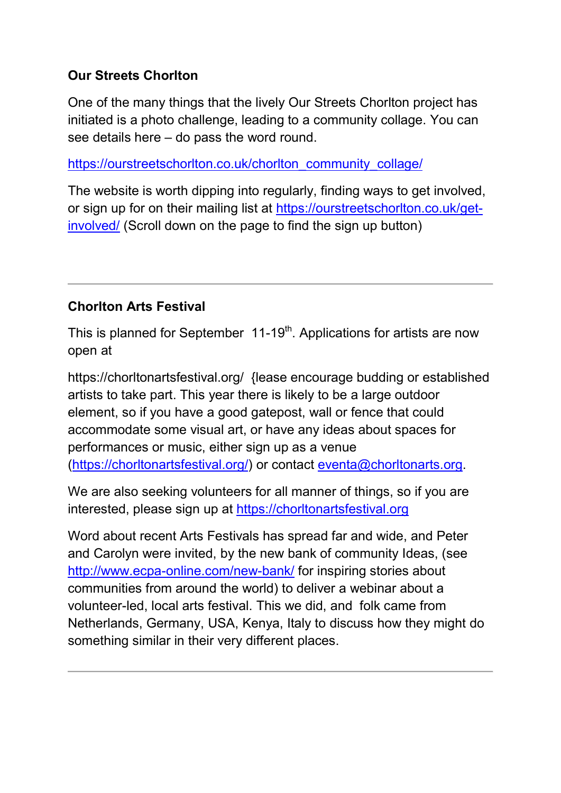## Our Streets Chorlton

One of the many things that the lively Our Streets Chorlton project has initiated is a photo challenge, leading to a community collage. You can see details here – do pass the word round.

https://ourstreetschorlton.co.uk/chorlton\_community\_collage/

The website is worth dipping into regularly, finding ways to get involved, or sign up for on their mailing list at https://ourstreetschorlton.co.uk/getinvolved/ (Scroll down on the page to find the sign up button)

## Chorlton Arts Festival

This is planned for September  $11-19<sup>th</sup>$ . Applications for artists are now open at

https://chorltonartsfestival.org/ {lease encourage budding or established artists to take part. This year there is likely to be a large outdoor element, so if you have a good gatepost, wall or fence that could accommodate some visual art, or have any ideas about spaces for performances or music, either sign up as a venue (https://chorltonartsfestival.org/) or contact eventa@chorltonarts.org.

We are also seeking volunteers for all manner of things, so if you are interested, please sign up at https://chorltonartsfestival.org

Word about recent Arts Festivals has spread far and wide, and Peter and Carolyn were invited, by the new bank of community Ideas, (see http://www.ecpa-online.com/new-bank/ for inspiring stories about communities from around the world) to deliver a webinar about a volunteer-led, local arts festival. This we did, and folk came from Netherlands, Germany, USA, Kenya, Italy to discuss how they might do something similar in their very different places.